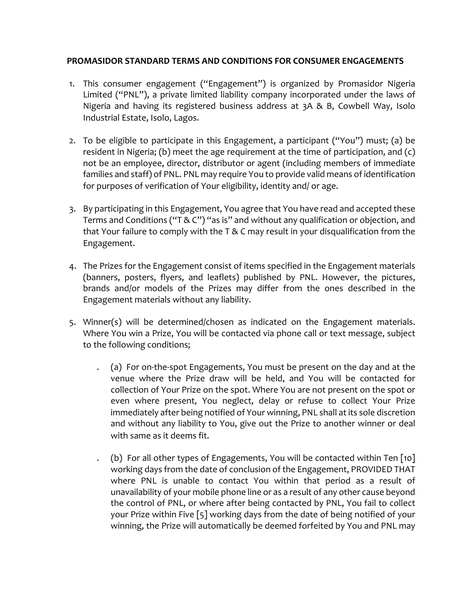## **PROMASIDOR STANDARD TERMS AND CONDITIONS FOR CONSUMER ENGAGEMENTS**

- 1. This consumer engagement ("Engagement") is organized by Promasidor Nigeria Limited ("PNL"), a private limited liability company incorporated under the laws of Nigeria and having its registered business address at 3A & B, Cowbell Way, Isolo Industrial Estate, Isolo, Lagos.
- 2. To be eligible to participate in this Engagement, a participant ("You") must; (a) be resident in Nigeria; (b) meet the age requirement at the time of participation, and (c) not be an employee, director, distributor or agent (including members of immediate families and staff) of PNL. PNL may require You to provide valid means of identification for purposes of verification of Your eligibility, identity and/ or age.
- 3. By participating in this Engagement, You agree that You have read and accepted these Terms and Conditions ("T & C") "as is" and without any qualification or objection, and that Your failure to comply with the T & C may result in your disqualification from the Engagement.
- 4. The Prizes for the Engagement consist of items specified in the Engagement materials (banners, posters, flyers, and leaflets) published by PNL. However, the pictures, brands and/or models of the Prizes may differ from the ones described in the Engagement materials without any liability.
- 5. Winner(s) will be determined/chosen as indicated on the Engagement materials. Where You win a Prize, You will be contacted via phone call or text message, subject to the following conditions;
	- . (a) For on-the-spot Engagements, You must be present on the day and at the venue where the Prize draw will be held, and You will be contacted for collection of Your Prize on the spot. Where You are not present on the spot or even where present, You neglect, delay or refuse to collect Your Prize immediately after being notified of Your winning, PNL shall at its sole discretion and without any liability to You, give out the Prize to another winner or deal with same as it deems fit.
	- . (b) For all other types of Engagements, You will be contacted within Ten [10] working days from the date of conclusion of the Engagement, PROVIDED THAT where PNL is unable to contact You within that period as a result of unavailability of your mobile phone line or as a result of any other cause beyond the control of PNL, or where after being contacted by PNL, You fail to collect your Prize within Five [5] working days from the date of being notified of your winning, the Prize will automatically be deemed forfeited by You and PNL may